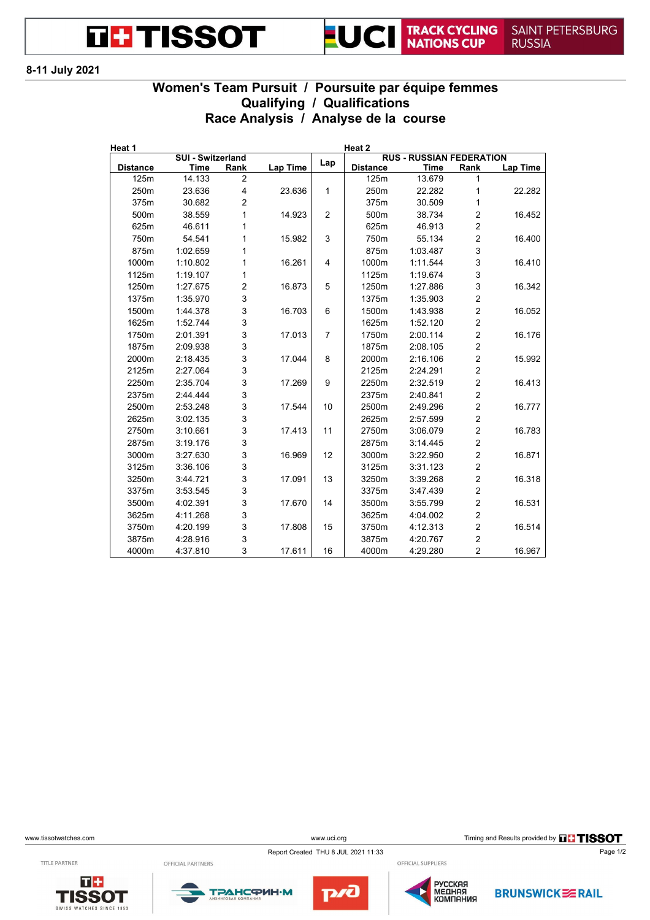

**8-11 July 2021**

## **Women's Team Pursuit / Poursuite par équipe femmes Qualifying / Qualifications Race Analysis / Analyse de la course**

| Heat 1          |                          | Heat <sub>2</sub> |                 |                |                                 |             |                         |          |  |  |
|-----------------|--------------------------|-------------------|-----------------|----------------|---------------------------------|-------------|-------------------------|----------|--|--|
|                 | <b>SUI - Switzerland</b> |                   |                 | Lap            | <b>RUS - RUSSIAN FEDERATION</b> |             |                         |          |  |  |
| <b>Distance</b> | <b>Time</b>              | Rank              | <b>Lap Time</b> |                | <b>Distance</b>                 | <b>Time</b> | Rank                    | Lap Time |  |  |
| 125m            | 14.133                   | $\overline{2}$    |                 |                | 125m                            | 13.679      | 1                       |          |  |  |
| 250m            | 23.636                   | $\overline{4}$    | 23.636          | 1              | 250m                            | 22.282      | 1                       | 22.282   |  |  |
| 375m            | 30.682                   | $\overline{2}$    |                 |                | 375m                            | 30.509      | 1                       |          |  |  |
| 500m            | 38.559                   | 1                 | 14.923          | $\overline{2}$ | 500m                            | 38.734      | $\overline{c}$          | 16.452   |  |  |
| 625m            | 46.611                   | 1                 |                 |                | 625m                            | 46.913      | $\overline{c}$          |          |  |  |
| 750m            | 54.541                   | 1                 | 15.982          | 3              | 750m                            | 55.134      | $\overline{2}$          | 16.400   |  |  |
| 875m            | 1:02.659                 | 1                 |                 |                | 875m                            | 1:03.487    | 3                       |          |  |  |
| 1000m           | 1:10.802                 | 1                 | 16.261          | $\overline{4}$ | 1000m                           | 1:11.544    | 3                       | 16.410   |  |  |
| 1125m           | 1:19.107                 | 1                 |                 |                | 1125m                           | 1:19.674    | 3                       |          |  |  |
| 1250m           | 1:27.675                 | $\overline{c}$    | 16.873          | 5              | 1250m                           | 1:27.886    | 3                       | 16.342   |  |  |
| 1375m           | 1:35.970                 | 3                 |                 |                | 1375m                           | 1:35.903    | $\overline{c}$          |          |  |  |
| 1500m           | 1:44.378                 | 3                 | 16.703          | 6              | 1500m                           | 1:43.938    | $\overline{c}$          | 16.052   |  |  |
| 1625m           | 1:52.744                 | 3                 |                 |                | 1625m                           | 1:52.120    | $\overline{c}$          |          |  |  |
| 1750m           | 2:01.391                 | 3                 | 17.013          | $\overline{7}$ | 1750m                           | 2:00.114    | $\overline{2}$          | 16.176   |  |  |
| 1875m           | 2:09.938                 | 3                 |                 |                | 1875m                           | 2:08.105    | $\overline{\mathbf{c}}$ |          |  |  |
| 2000m           | 2:18.435                 | 3                 | 17.044          | 8              | 2000m                           | 2:16.106    | $\overline{c}$          | 15.992   |  |  |
| 2125m           | 2:27.064                 | 3                 |                 |                | 2125m                           | 2:24.291    | $\overline{2}$          |          |  |  |
| 2250m           | 2:35.704                 | 3                 | 17.269          | 9              | 2250m                           | 2:32.519    | $\overline{c}$          | 16.413   |  |  |
| 2375m           | 2:44.444                 | 3                 |                 |                | 2375m                           | 2:40.841    | $\overline{2}$          |          |  |  |
| 2500m           | 2:53.248                 | 3                 | 17.544          | 10             | 2500m                           | 2:49.296    | $\overline{2}$          | 16.777   |  |  |
| 2625m           | 3:02.135                 | 3                 |                 |                | 2625m                           | 2:57.599    | $\overline{c}$          |          |  |  |
| 2750m           | 3:10.661                 | 3                 | 17.413          | 11             | 2750m                           | 3:06.079    | $\overline{2}$          | 16.783   |  |  |
| 2875m           | 3:19.176                 | 3                 |                 |                | 2875m                           | 3:14.445    | $\overline{c}$          |          |  |  |
| 3000m           | 3:27.630                 | 3                 | 16.969          | 12             | 3000m                           | 3:22.950    | $\overline{c}$          | 16.871   |  |  |
| 3125m           | 3:36.106                 | 3                 |                 |                | 3125m                           | 3:31.123    | $\overline{c}$          |          |  |  |
| 3250m           | 3:44.721                 | 3                 | 17.091          | 13             | 3250m                           | 3:39.268    | $\overline{c}$          | 16.318   |  |  |
| 3375m           | 3:53.545                 | 3                 |                 |                | 3375m                           | 3:47.439    | $\overline{2}$          |          |  |  |
| 3500m           | 4:02.391                 | 3                 | 17.670          | 14             | 3500m                           | 3:55.799    | $\overline{c}$          | 16.531   |  |  |
| 3625m           | 4:11.268                 | 3                 |                 |                | 3625m                           | 4:04.002    | $\overline{c}$          |          |  |  |
| 3750m           | 4:20.199                 | 3                 | 17.808          | 15             | 3750m                           | 4:12.313    | $\overline{2}$          | 16.514   |  |  |
| 3875m           | 4:28.916                 | 3                 |                 |                | 3875m                           | 4:20.767    | $\mathbf 2$             |          |  |  |
| 4000m           | 4:37.810                 | 3                 | 17.611          | 16             | 4000m                           | 4:29.280    | $\overline{2}$          | 16.967   |  |  |

Report Created THU 8 JUL 2021 11:33 OFFICIAL SUPPLIERS OPERATION CONSERVANCE PAGE 1/2

www.tissotwatches.com **WW.tissotwatches.com** www.uci.org Timing and Results provided by **THISSOT** 

TITLE PARTNER





OFFICIAL PARTNERS







**BRUNSWICK SE RAIL**